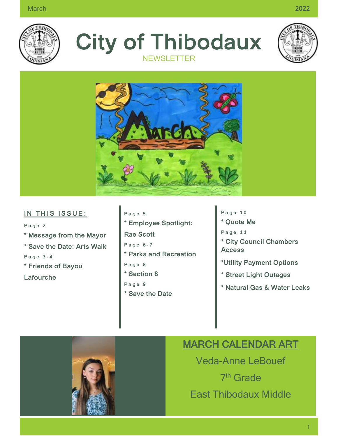

**City of Thibodaux NEWSLETTER** 





#### **IN THIS ISSUE:**

**P a g e 2 \* Message from the Mayor \* Save the Date: Arts Walk P a g e 3 - 4 \* Friends of Bayou** 

**Lafourche**

- **P a g e 5 \* Employee Spotlight: Rae Scott P a g e 6 - 7 \* Parks and Recreation P a g e 8 \* Section 8 P a g e 9 \* Save the Date**
- **P a g e 1 0 \* Quote Me P a g e 1 1 \* City Council Chambers Access \*Utility Payment Options \* Street Light Outages**
- **\* Natural Gas & Water Leaks**



# MARCH CALENDAR ART

Veda-Anne LeBouef 7<sup>th</sup> Grade East Thibodaux Middle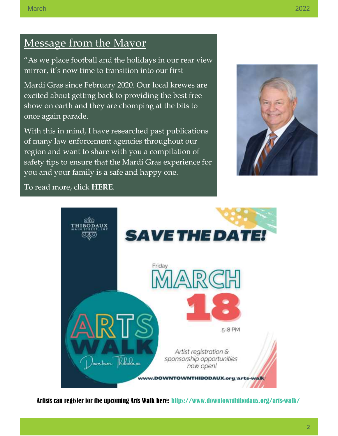# Message from the Mayor

"As we place football and the holidays in our rear view mirror, it's now time to transition into our first

Mardi Gras since February 2020. Our local krewes are excited about getting back to providing the best free show on earth and they are chomping at the bits to once again parade.

With this in mind, I have researched past publications of many law enforcement agencies throughout our region and want to share with you a compilation of safety tips to ensure that the Mardi Gras experience for you and your family is a safe and happy one.



To read more, click **[HERE](https://www.ci.thibodaux.la.us/forms/departments/marketing/linked_files/CHAMBER%20INSIGHT%20MARCH%202022.pdf)**.



Artists can register for the upcoming Arts Walk here:<https://www.downtownthibodaux.org/arts-walk/>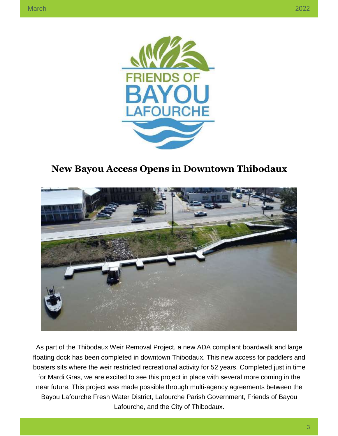

# **New Bayou Access Opens in Downtown Thibodaux**



As part of the Thibodaux Weir Removal Project, a new ADA compliant boardwalk and large floating dock has been completed in downtown Thibodaux. This new access for paddlers and boaters sits where the weir restricted recreational activity for 52 years. Completed just in time for Mardi Gras, we are excited to see this project in place with several more coming in the near future. This project was made possible through multi-agency agreements between the Bayou Lafourche Fresh Water District, Lafourche Parish Government, Friends of Bayou Lafourche, and the City of Thibodaux.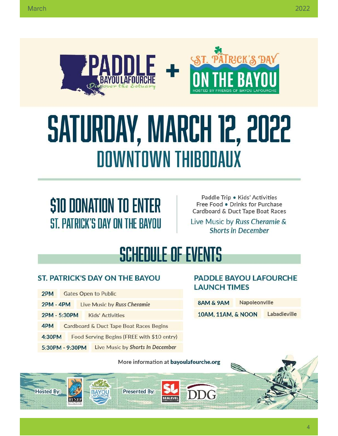

# SATURDAY, MARCH 12, 2022 **DOWNTOWN THIBODAUX**

# *S10 DONATION TO ENTER* ST. PATRICK'S DAY ON THE BAYOU

Paddle Trip . Kids' Activities Free Food . Drinks for Purchase Cardboard & Duct Tape Boat Races

Live Music by Russ Cheramie & **Shorts in December** 

# **SCHEDULE OF EVENTS**

### **ST. PATRICK'S DAY ON THE BAYOU**

- 2PM **Gates Open to Public**
- **2PM 4PM** Live Music by Russ Cheramie
- 2PM 5:30PM **Kids' Activities**
- Cardboard & Duct Tape Boat Races Begins 4PM
- 4:30PM Food Serving Begins (FREE with \$10 entry)
- 5:30PM 9:30PM Live Music by Shorts In December

#### **PADDLE BAYOU LAFOURCHE LAUNCH TIMES**

| 8AM & 9AM          | Napoleonville |              |
|--------------------|---------------|--------------|
| 10AM, 11AM, & NOON |               | Labadieville |

More information at bayoulafourche.org

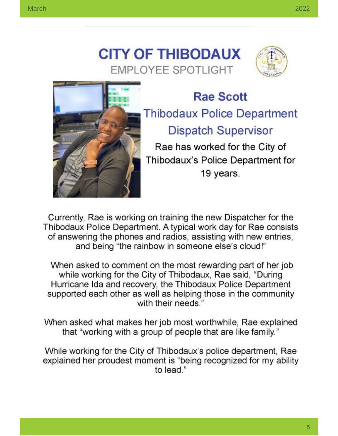



# **Rae Scott Thibodaux Police Department Dispatch Supervisor** Rae has worked for the City of

Thibodaux's Police Department for 19 years.

Currently, Rae is working on training the new Dispatcher for the Thibodaux Police Department. A typical work day for Rae consists of answering the phones and radios, assisting with new entries, and being "the rainbow in someone else's cloud!"

When asked to comment on the most rewarding part of her job while working for the City of Thibodaux, Rae said, "During Hurricane Ida and recovery, the Thibodaux Police Department supported each other as well as helping those in the community with their needs."

When asked what makes her job most worthwhile, Rae explained that "working with a group of people that are like family."

While working for the City of Thibodaux's police department, Rae explained her proudest moment is "being recognized for my ability to lead."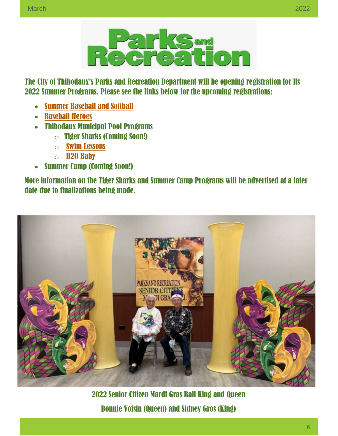

The City of Thibodaux's Parks and Recreation Department will be opening registration for its 2022 Summer Programs. Please see the links below for the upcoming registrations:

- [Summer Baseball](https://www.ci.thibodaux.la.us/forms/departments/pr/Youth%20Programs/Baseball/Flyer%202022.pdf) and Softball
- [Baseball Heroes](https://www.ci.thibodaux.la.us/forms/departments/pr/Special%20Needs%20Programs/Baseball%20Heros/Baseball%20Heroes%20Flyer.pdf)
- Thibodaux Municipal Pool Programs
	- o Tiger Sharks (Coming Soon!)
	- o [Swim Lessons](https://www.ci.thibodaux.la.us/forms/departments/pr/Pool/Swim%20Lessons/Swimming%20Lesson%20Flyer%202022.pdf)
	- o [H2O Baby](https://www.ci.thibodaux.la.us/forms/departments/pr/Pool/H2O%20Baby/H2OH%20BABY%20Water%20Class%202022.pdf)
- Summer Camp (Coming Soon!)

More information on the Tiger Sharks and Summer Camp Programs will be advertised at a later date due to finalizations being made.



2022 Senior Citizen Mardi Gras Ball King and Queen Bonnie Voisin (Queen) and Sidney Gros (King)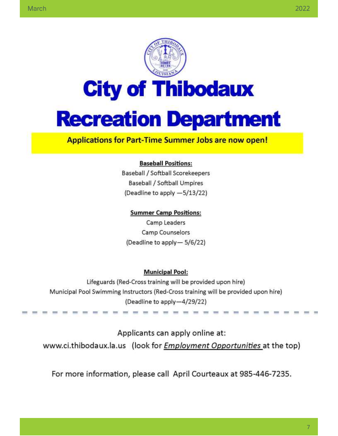

#### **Applications for Part-Time Summer Jobs are now open!**

#### **Baseball Positions:**

Baseball / Softball Scorekeepers **Baseball / Softball Umpires** (Deadline to apply -5/13/22)

#### **Summer Camp Positions:**

Camp Leaders **Camp Counselors** (Deadline to apply-5/6/22)

#### **Municipal Pool:**

Lifeguards (Red-Cross training will be provided upon hire) Municipal Pool Swimming Instructors (Red-Cross training will be provided upon hire) (Deadline to apply-4/29/22)

Applicants can apply online at: www.ci.thibodaux.la.us (look for *Employment Opportunities* at the top)

For more information, please call April Courteaux at 985-446-7235.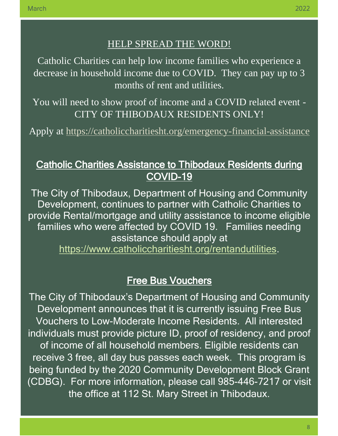## HELP SPREAD THE WORD!

Catholic Charities can help low income families who experience a decrease in household income due to COVID. They can pay up to 3 months of rent and utilities.

You will need to show proof of income and a COVID related event - CITY OF THIBODAUX RESIDENTS ONLY!

Apply at <https://catholiccharitiesht.org/emergency-financial-assistance>

# Catholic Charities Assistance to Thibodaux Residents during COVID-19

The City of Thibodaux, Department of Housing and Community Development, continues to partner with Catholic Charities to provide Rental/mortgage and utility assistance to income eligible families who were affected by COVID 19. Families needing assistance should apply at

[https://www.catholiccharitiesht.org/rentandutilities.](https://www.catholiccharitiesht.org/rentandutilities)

# Free Bus Vouchers

The City of Thibodaux's Department of Housing and Community Development announces that it is currently issuing Free Bus Vouchers to Low-Moderate Income Residents. All interested individuals must provide picture ID, proof of residency, and proof of income of all household members. Eligible residents can receive 3 free, all day bus passes each week. This program is being funded by the 2020 Community Development Block Grant (CDBG). For more information, please call 985-446-7217 or visit the office at 112 St. Mary Street in Thibodaux.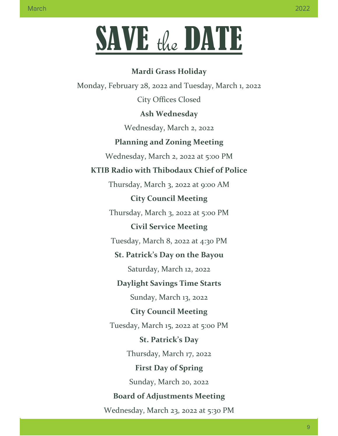# SAVE the DATE

# **Mardi Grass Holiday** Monday, February 28, 2022 and Tuesday, March 1, 2022 City Offices Closed **Ash Wednesday** Wednesday, March 2, 2022 **Planning and Zoning Meeting** Wednesday, March 2, 2022 at 5:00 PM **KTIB Radio with Thibodaux Chief of Police** Thursday, March 3, 2022 at 9:00 AM **City Council Meeting** Thursday, March 3, 2022 at 5:00 PM **Civil Service Meeting** Tuesday, March 8, 2022 at 4:30 PM **St. Patrick's Day on the Bayou** Saturday, March 12, 2022 **Daylight Savings Time Starts** Sunday, March 13, 2022 **City Council Meeting** Tuesday, March 15, 2022 at 5:00 PM **St. Patrick's Day** Thursday, March 17, 2022 **First Day of Spring** Sunday, March 20, 2022 **Board of Adjustments Meeting** Wednesday, March 23, 2022 at 5:30 PM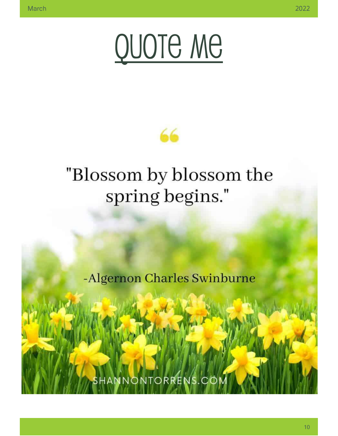



# "Blossom by blossom the spring begins."

-Algernon Charles Swinburne

NNONTORRENS.C